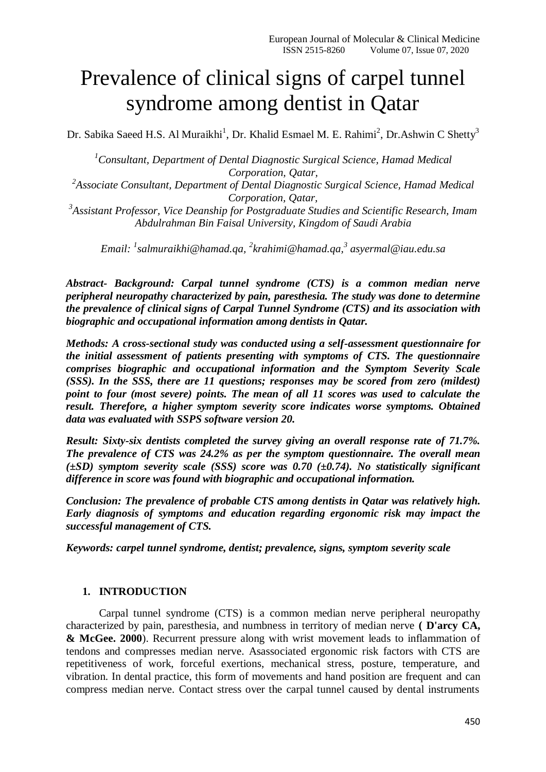# Prevalence of clinical signs of carpel tunnel syndrome among dentist in Qatar

Dr. Sabika Saeed H.S. Al Muraikhi<sup>1</sup>, Dr. Khalid Esmael M. E. Rahimi<sup>2</sup>, Dr.Ashwin C Shetty<sup>3</sup>

*<sup>1</sup>Consultant, Department of Dental Diagnostic Surgical Science, Hamad Medical Corporation, Qatar,*

<sup>2</sup> Associate Consultant, Department of Dental Diagnostic Surgical Science, Hamad Medical *Corporation, Qatar,*

*3 Assistant Professor, Vice Deanship for Postgraduate Studies and Scientific Research, Imam Abdulrahman Bin Faisal University, Kingdom of Saudi Arabia*

*Email: <sup>1</sup> [salmuraikhi@hamad.qa,](mailto:salmuraikhi@hamad.qa) <sup>2</sup> [krahimi@hamad.qa,](mailto:krahimi@hamad.qa) 3 [asyermal@iau.edu.sa](mailto:asyermal@iau.edu.sa)*

*Abstract- Background: Carpal tunnel syndrome (CTS) is a common median nerve peripheral neuropathy characterized by pain, paresthesia. The study was done to determine the prevalence of clinical signs of Carpal Tunnel Syndrome (CTS) and its association with biographic and occupational information among dentists in Qatar.*

*Methods: A cross-sectional study was conducted using a self-assessment questionnaire for the initial assessment of patients presenting with symptoms of CTS. The questionnaire comprises biographic and occupational information and the Symptom Severity Scale (SSS). In the SSS, there are 11 questions; responses may be scored from zero (mildest) point to four (most severe) points. The mean of all 11 scores was used to calculate the result. Therefore, a higher symptom severity score indicates worse symptoms. Obtained data was evaluated with SSPS software version 20.*

*Result: Sixty-six dentists completed the survey giving an overall response rate of 71.7%. The prevalence of CTS was 24.2% as per the symptom questionnaire. The overall mean (±SD) symptom severity scale (SSS) score was 0.70 (±0.74). No statistically significant difference in score was found with biographic and occupational information.*

*Conclusion: The prevalence of probable CTS among dentists in Qatar was relatively high. Early diagnosis of symptoms and education regarding ergonomic risk may impact the successful management of CTS.*

*Keywords: carpel tunnel syndrome, dentist; prevalence, signs, symptom severity scale*

#### **1. INTRODUCTION**

Carpal tunnel syndrome (CTS) is a common median nerve peripheral neuropathy characterized by pain, paresthesia, and numbness in territory of median nerve **( D'arcy CA, & McGee. 2000**). Recurrent pressure along with wrist movement leads to inflammation of tendons and compresses median nerve. Asassociated ergonomic risk factors with CTS are repetitiveness of work, forceful exertions, mechanical stress, posture, temperature, and vibration. In dental practice, this form of movements and hand position are frequent and can compress median nerve. Contact stress over the carpal tunnel caused by dental instruments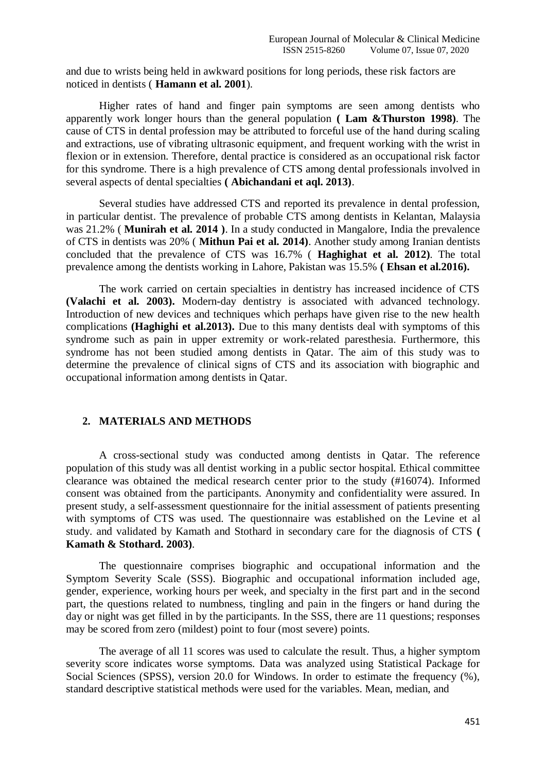and due to wrists being held in awkward positions for long periods, these risk factors are noticed in dentists ( **Hamann et al. 2001**).

Higher rates of hand and finger pain symptoms are seen among dentists who apparently work longer hours than the general population **( Lam &Thurston 1998)**. The cause of CTS in dental profession may be attributed to forceful use of the hand during scaling and extractions, use of vibrating ultrasonic equipment, and frequent working with the wrist in flexion or in extension. Therefore, dental practice is considered as an occupational risk factor for this syndrome. There is a high prevalence of CTS among dental professionals involved in several aspects of dental specialties **( Abichandani et aql. 2013)**.

Several studies have addressed CTS and reported its prevalence in dental profession, in particular dentist. The prevalence of probable CTS among dentists in Kelantan, Malaysia was 21.2% ( **Munirah et al. 2014 )**. In a study conducted in Mangalore, India the prevalence of CTS in dentists was 20% ( **Mithun Pai et al. 2014)**. Another study among Iranian dentists concluded that the prevalence of CTS was 16.7% ( **Haghighat et al. 2012)**. The total prevalence among the dentists working in Lahore, Pakistan was 15.5% **( Ehsan et al.2016).**

The work carried on certain specialties in dentistry has increased incidence of CTS **(Valachi et al. 2003).** Modern-day dentistry is associated with advanced technology. Introduction of new devices and techniques which perhaps have given rise to the new health complications **(Haghighi et al.2013).** Due to this many dentists deal with symptoms of this syndrome such as pain in upper extremity or work-related paresthesia. Furthermore, this syndrome has not been studied among dentists in Qatar. The aim of this study was to determine the prevalence of clinical signs of CTS and its association with biographic and occupational information among dentists in Qatar.

## **2. MATERIALS AND METHODS**

A cross-sectional study was conducted among dentists in Qatar. The reference population of this study was all dentist working in a public sector hospital. Ethical committee clearance was obtained the medical research center prior to the study (#16074). Informed consent was obtained from the participants. Anonymity and confidentiality were assured. In present study, a self-assessment questionnaire for the initial assessment of patients presenting with symptoms of CTS was used. The questionnaire was established on the Levine et al study. and validated by Kamath and Stothard in secondary care for the diagnosis of CTS **( Kamath & Stothard. 2003)**.

The questionnaire comprises biographic and occupational information and the Symptom Severity Scale (SSS). Biographic and occupational information included age, gender, experience, working hours per week, and specialty in the first part and in the second part, the questions related to numbness, tingling and pain in the fingers or hand during the day or night was get filled in by the participants. In the SSS, there are 11 questions; responses may be scored from zero (mildest) point to four (most severe) points.

The average of all 11 scores was used to calculate the result. Thus, a higher symptom severity score indicates worse symptoms. Data was analyzed using Statistical Package for Social Sciences (SPSS), version 20.0 for Windows. In order to estimate the frequency (%), standard descriptive statistical methods were used for the variables. Mean, median, and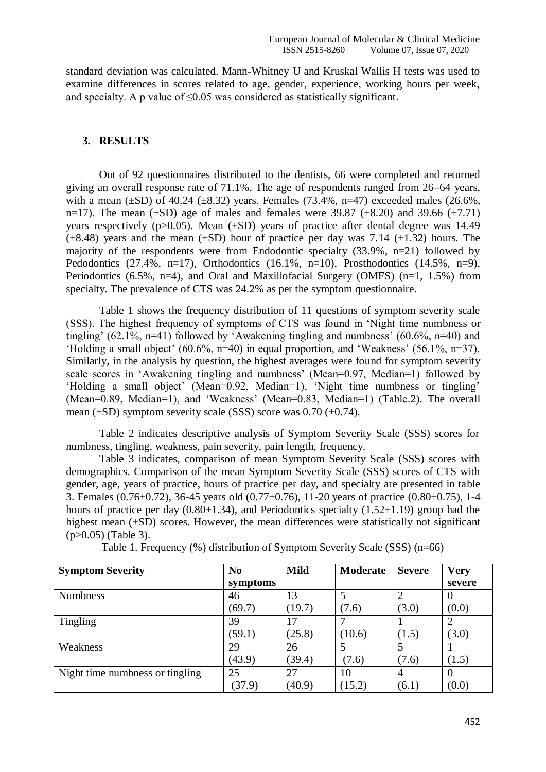standard deviation was calculated. Mann-Whitney U and Kruskal Wallis H tests was used to examine differences in scores related to age, gender, experience, working hours per week, and specialty. A p value of ≤0.05 was considered as statistically significant.

## **3. RESULTS**

Out of 92 questionnaires distributed to the dentists, 66 were completed and returned giving an overall response rate of 71.1%. The age of respondents ranged from 26–64 years, with a mean  $(\pm SD)$  of 40.24  $(\pm 8.32)$  years. Females (73.4%, n=47) exceeded males (26.6%, n=17). The mean ( $\pm$ SD) age of males and females were 39.87 ( $\pm$ 8.20) and 39.66 ( $\pm$ 7.71) years respectively ( $p > 0.05$ ). Mean ( $\pm SD$ ) years of practice after dental degree was 14.49  $(\pm 8.48)$  years and the mean  $(\pm SD)$  hour of practice per day was 7.14 ( $\pm 1.32$ ) hours. The majority of the respondents were from Endodontic specialty (33.9%, n=21) followed by Pedodontics  $(27.4\%, n=17)$ , Orthodontics  $(16.1\%, n=10)$ , Prosthodontics  $(14.5\%, n=9)$ , Periodontics (6.5%, n=4), and Oral and Maxillofacial Surgery (OMFS) (n=1, 1.5%) from specialty. The prevalence of CTS was 24.2% as per the symptom questionnaire.

Table 1 shows the frequency distribution of 11 questions of symptom severity scale (SSS). The highest frequency of symptoms of CTS was found in 'Night time numbness or tingling' (62.1%, n=41) followed by 'Awakening tingling and numbness' (60.6%, n=40) and 'Holding a small object' (60.6%, n=40) in equal proportion, and 'Weakness' (56.1%, n=37). Similarly, in the analysis by question, the highest averages were found for symptom severity scale scores in 'Awakening tingling and numbness' (Mean=0.97, Median=1) followed by 'Holding a small object' (Mean=0.92, Median=1), 'Night time numbness or tingling' (Mean=0.89, Median=1), and 'Weakness' (Mean=0.83, Median=1) (Table.2). The overall mean  $(\pm SD)$  symptom severity scale (SSS) score was 0.70 ( $\pm$ 0.74).

Table 2 indicates descriptive analysis of Symptom Severity Scale (SSS) scores for numbness, tingling, weakness, pain severity, pain length, frequency.

Table 3 indicates, comparison of mean Symptom Severity Scale (SSS) scores with demographics. Comparison of the mean Symptom Severity Scale (SSS) scores of CTS with gender, age, years of practice, hours of practice per day, and specialty are presented in table 3. Females (0.76±0.72), 36-45 years old (0.77±0.76), 11-20 years of practice (0.80±0.75), 1-4 hours of practice per day  $(0.80\pm1.34)$ , and Periodontics specialty  $(1.52\pm1.19)$  group had the highest mean ( $\pm$ SD) scores. However, the mean differences were statistically not significant (p>0.05) (Table 3).

| <b>Symptom Severity</b>         | N <sub>0</sub> | <b>Mild</b> | Moderate | <b>Severe</b> | <b>Very</b>    |
|---------------------------------|----------------|-------------|----------|---------------|----------------|
|                                 | symptoms       |             |          |               | severe         |
| <b>Numbness</b>                 | 46             | 13          |          |               | $\theta$       |
|                                 | (69.7)         | (19.7)      | (7.6)    | (3.0)         | (0.0)          |
| <b>Tingling</b>                 | 39             | 17          |          |               | $\overline{2}$ |
|                                 | (59.1)         | (25.8)      | (10.6)   | (1.5)         | (3.0)          |
| Weakness                        | 29             | 26          |          |               |                |
|                                 | (43.9)         | (39.4)      | (7.6)    | (7.6)         | (1.5)          |
| Night time numbness or tingling | 25             | 27          | 10       | 4             | $\theta$       |
|                                 | (37.9)         | (40.9)      | (15.2)   | (6.1)         | (0.0)          |

Table 1. Frequency (%) distribution of Symptom Severity Scale (SSS) (n=66)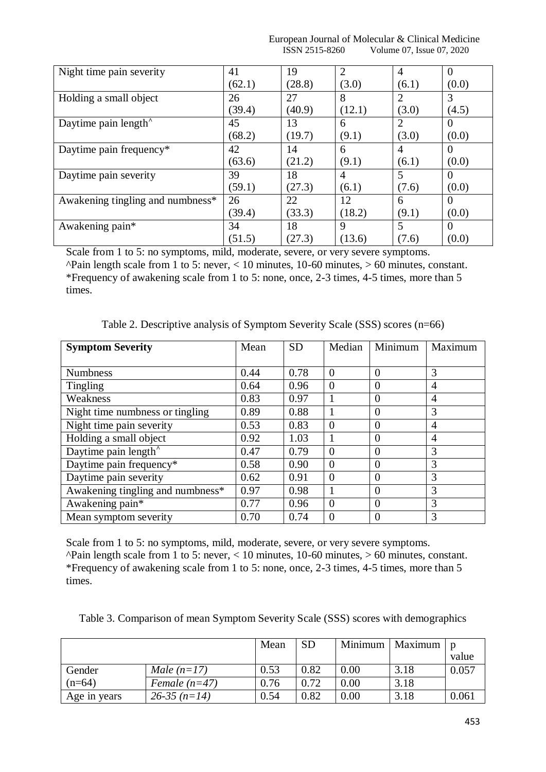|                | European Journal of Molecular & Clinical Medicine |
|----------------|---------------------------------------------------|
| ISSN 2515-8260 | Volume 07, Issue 07, 2020                         |

| Night time pain severity         | 41     | 19     | 2           | 4     | $\Omega$ |
|----------------------------------|--------|--------|-------------|-------|----------|
|                                  | (62.1) | (28.8) | (3.0)       | (6.1) | (0.0)    |
| Holding a small object           | 26     | 27     | 8           | 2     | 3        |
|                                  | (39.4) | (40.9) | (12.1)      | (3.0) | (4.5)    |
| Daytime pain length <sup>^</sup> | 45     | 13     | 6           | 2     | $\Omega$ |
|                                  | (68.2) | (19.7) | (9.1)       | (3.0) | (0.0)    |
| Daytime pain frequency*          | 42     | 14     | 6           | 4     | $\Omega$ |
|                                  | (63.6) | (21.2) | (9.1)       | (6.1) | (0.0)    |
| Daytime pain severity            | 39     | 18     | 4           | 5     | $\Omega$ |
|                                  | (59.1) | (27.3) | (6.1)       | (7.6) | (0.0)    |
| Awakening tingling and numbness* | 26     | 22     | 12          | 6     | $\Omega$ |
|                                  | (39.4) | (33.3) | (18.2)      | (9.1) | (0.0)    |
| Awakening pain*                  | 34     | 18     | $\mathbf Q$ |       | $\theta$ |
|                                  | (51.5) | (27.3) | (13.6)      | (7.6) | (0.0)    |

Scale from 1 to 5: no symptoms, mild, moderate, severe, or very severe symptoms.

 $\Delta$ Pain length scale from 1 to 5: never, < 10 minutes, 10-60 minutes, > 60 minutes, constant. \*Frequency of awakening scale from 1 to 5: none, once, 2-3 times, 4-5 times, more than 5 times.

| <b>Symptom Severity</b>          | Mean | <b>SD</b> | Median   | Minimum        | Maximum        |
|----------------------------------|------|-----------|----------|----------------|----------------|
|                                  |      |           |          |                |                |
| <b>Numbness</b>                  | 0.44 | 0.78      | $\Omega$ | $\Omega$       | 3              |
| <b>Tingling</b>                  | 0.64 | 0.96      | $\theta$ | $\overline{0}$ | 4              |
| Weakness                         | 0.83 | 0.97      |          | $\theta$       | 4              |
| Night time numbness or tingling  | 0.89 | 0.88      |          | $\theta$       | 3              |
| Night time pain severity         | 0.53 | 0.83      | $\Omega$ | $\theta$       | $\overline{A}$ |
| Holding a small object           | 0.92 | 1.03      | 1        | $\theta$       | $\overline{A}$ |
| Daytime pain length <sup>^</sup> | 0.47 | 0.79      | $\theta$ | $\theta$       | 3              |
| Daytime pain frequency*          | 0.58 | 0.90      | $\Omega$ | $\Omega$       | 3              |
| Daytime pain severity            | 0.62 | 0.91      | $\theta$ | $\theta$       | 3              |
| Awakening tingling and numbness* | 0.97 | 0.98      |          | $\theta$       | 3              |
| Awakening pain*                  | 0.77 | 0.96      | $\Omega$ | $\Omega$       | 3              |
| Mean symptom severity            | 0.70 | 0.74      | $\theta$ | $\theta$       | 3              |

Table 2. Descriptive analysis of Symptom Severity Scale (SSS) scores (n=66)

Scale from 1 to 5: no symptoms, mild, moderate, severe, or very severe symptoms.  $\Delta$ Pain length scale from 1 to 5: never, < 10 minutes, 10-60 minutes, > 60 minutes, constant. \*Frequency of awakening scale from 1 to 5: none, once, 2-3 times, 4-5 times, more than 5 times.

| Table 3. Comparison of mean Symptom Severity Scale (SSS) scores with demographics |  |  |  |  |
|-----------------------------------------------------------------------------------|--|--|--|--|
|-----------------------------------------------------------------------------------|--|--|--|--|

|              |                 | Mean | <b>SD</b> |          | Minimum   Maximum |       |
|--------------|-----------------|------|-----------|----------|-------------------|-------|
|              |                 |      |           |          |                   | value |
| Gender       | Male $(n=17)$   | 0.53 | 0.82      | 0.00     | 3.18              | 0.057 |
| $(n=64)$     | Female $(n=47)$ | 0.76 | 0.72      | $0.00\,$ | 3.18              |       |
| Age in years | $26-35(n=14)$   | 0.54 | 0.82      | 0.00     | 3.18              | 0.061 |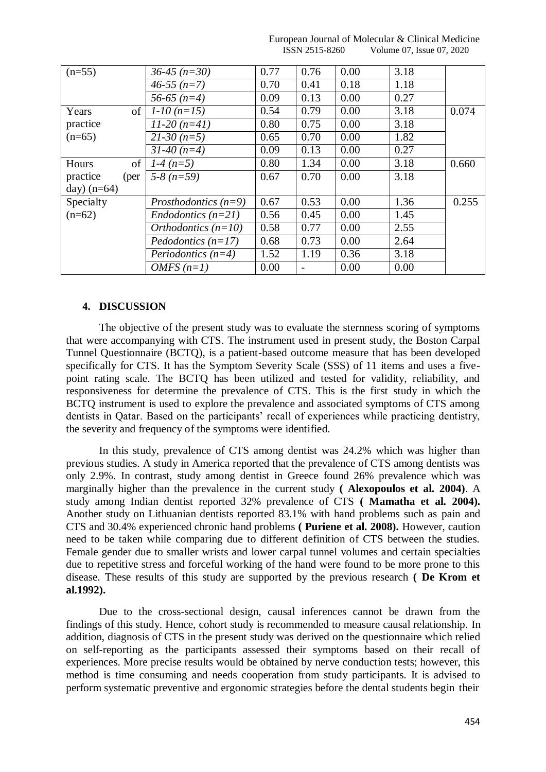| $(n=55)$         | $36-45$ (n=30)         | 0.77 | 0.76                     | 0.00 | 3.18 |       |
|------------------|------------------------|------|--------------------------|------|------|-------|
|                  | $46-55(n=7)$           | 0.70 | 0.41                     | 0.18 | 1.18 |       |
|                  | 56-65 $(n=4)$          | 0.09 | 0.13                     | 0.00 | 0.27 |       |
| of<br>Years      | $1-10(n=15)$           | 0.54 | 0.79                     | 0.00 | 3.18 | 0.074 |
| practice         | $11-20(n=41)$          | 0.80 | 0.75                     | 0.00 | 3.18 |       |
| $(n=65)$         | $21-30(n=5)$           | 0.65 | 0.70                     | 0.00 | 1.82 |       |
|                  | $31-40(n=4)$           | 0.09 | 0.13                     | 0.00 | 0.27 |       |
| of<br>Hours      | $1-4(n=5)$             | 0.80 | 1.34                     | 0.00 | 3.18 | 0.660 |
| practice<br>(per | $5-8(n=59)$            | 0.67 | 0.70                     | 0.00 | 3.18 |       |
| day) $(n=64)$    |                        |      |                          |      |      |       |
| Specialty        | Prosthodontics $(n=9)$ | 0.67 | 0.53                     | 0.00 | 1.36 | 0.255 |
| $(n=62)$         | $Endodontics (n=21)$   | 0.56 | 0.45                     | 0.00 | 1.45 |       |
|                  | Orthodontics $(n=10)$  | 0.58 | 0.77                     | 0.00 | 2.55 |       |
|                  | Pedodontics $(n=17)$   | 0.68 | 0.73                     | 0.00 | 2.64 |       |
|                  | Periodontics $(n=4)$   | 1.52 | 1.19                     | 0.36 | 3.18 |       |
|                  | <i>OMFS</i> $(n=1)$    | 0.00 | $\overline{\phantom{a}}$ | 0.00 | 0.00 |       |
|                  |                        |      |                          |      |      |       |

#### European Journal of Molecular & Clinical Medicine ISSN 2515-8260 Volume 07, Issue 07, 2020

## **4. DISCUSSION**

The objective of the present study was to evaluate the sternness scoring of symptoms that were accompanying with CTS. The instrument used in present study, the Boston Carpal Tunnel Questionnaire (BCTQ), is a patient-based outcome measure that has been developed specifically for CTS. It has the Symptom Severity Scale (SSS) of 11 items and uses a fivepoint rating scale. The BCTQ has been utilized and tested for validity, reliability, and responsiveness for determine the prevalence of CTS. This is the first study in which the BCTQ instrument is used to explore the prevalence and associated symptoms of CTS among dentists in Qatar. Based on the participants' recall of experiences while practicing dentistry, the severity and frequency of the symptoms were identified.

In this study, prevalence of CTS among dentist was 24.2% which was higher than previous studies. A study in America reported that the prevalence of CTS among dentists was only 2.9%. In contrast, study among dentist in Greece found 26% prevalence which was marginally higher than the prevalence in the current study **( Alexopoulos et al. 2004)**. A study among Indian dentist reported 32% prevalence of CTS **( Mamatha et al. 2004).**  Another study on Lithuanian dentists reported 83.1% with hand problems such as pain and CTS and 30.4% experienced chronic hand problems **( Puriene et al. 2008).** However, caution need to be taken while comparing due to different definition of CTS between the studies. Female gender due to smaller wrists and lower carpal tunnel volumes and certain specialties due to repetitive stress and forceful working of the hand were found to be more prone to this disease. These results of this study are supported by the previous research **( De Krom et al.1992).**

Due to the cross-sectional design, causal inferences cannot be drawn from the findings of this study. Hence, cohort study is recommended to measure causal relationship. In addition, diagnosis of CTS in the present study was derived on the questionnaire which relied on self-reporting as the participants assessed their symptoms based on their recall of experiences. More precise results would be obtained by nerve conduction tests; however, this method is time consuming and needs cooperation from study participants. It is advised to perform systematic preventive and ergonomic strategies before the dental students begin their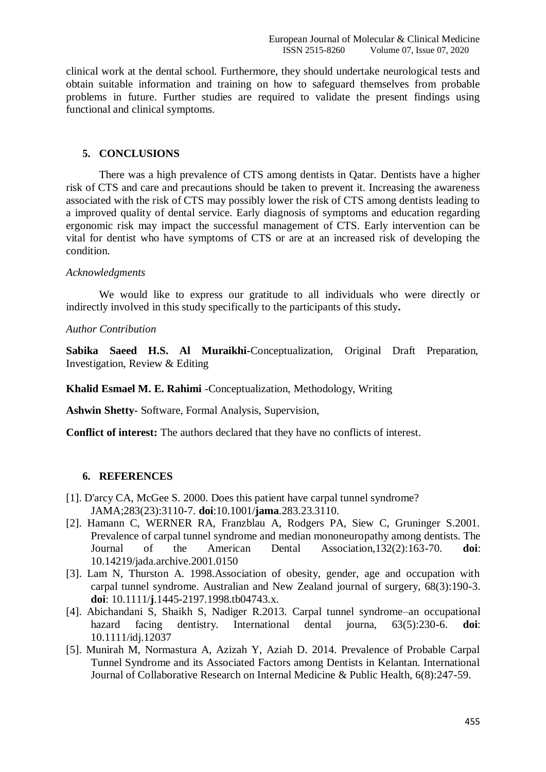clinical work at the dental school. Furthermore, they should undertake neurological tests and obtain suitable information and training on how to safeguard themselves from probable problems in future. Further studies are required to validate the present findings using functional and clinical symptoms.

#### **5. CONCLUSIONS**

There was a high prevalence of CTS among dentists in Qatar. Dentists have a higher risk of CTS and care and precautions should be taken to prevent it. Increasing the awareness associated with the risk of CTS may possibly lower the risk of CTS among dentists leading to a improved quality of dental service. Early diagnosis of symptoms and education regarding ergonomic risk may impact the successful management of CTS. Early intervention can be vital for dentist who have symptoms of CTS or are at an increased risk of developing the condition.

#### *Acknowledgments*

We would like to express our gratitude to all individuals who were directly or indirectly involved in this study specifically to the participants of this study**.**

#### *Author Contribution*

**Sabika Saeed H.S. Al Muraikhi-**Conceptualization, Original Draft Preparation, Investigation, Review & Editing

**Khalid Esmael M. E. Rahimi** -Conceptualization, Methodology, Writing

**Ashwin Shetty**- Software, Formal Analysis, Supervision,

**Conflict of interest:** The authors declared that they have no conflicts of interest.

### **6. REFERENCES**

- [1]. D'arcy CA, McGee S. 2000. Does this patient have carpal tunnel syndrome? JAMA;283(23):3110-7. **doi**:10.1001/**jama**.283.23.3110.
- [2]. Hamann C, WERNER RA, Franzblau A, Rodgers PA, Siew C, Gruninger S.2001. Prevalence of carpal tunnel syndrome and median mononeuropathy among dentists. The Journal of the American Dental Association,132(2):163-70. **doi**: 10.14219/jada.archive.2001.0150
- [3]. Lam N, Thurston A. 1998.Association of obesity, gender, age and occupation with carpal tunnel syndrome. Australian and New Zealand journal of surgery, 68(3):190-3. **doi**: 10.1111/**j**.1445-2197.1998.tb04743.x.
- [4]. Abichandani S, Shaikh S, Nadiger R.2013. Carpal tunnel syndrome–an occupational hazard facing dentistry. International dental journa, 63(5):230-6. **doi**: 10.1111/idj.12037
- [5]. Munirah M, Normastura A, Azizah Y, Aziah D. 2014. Prevalence of Probable Carpal Tunnel Syndrome and its Associated Factors among Dentists in Kelantan. International Journal of Collaborative Research on Internal Medicine & Public Health, 6(8):247-59.